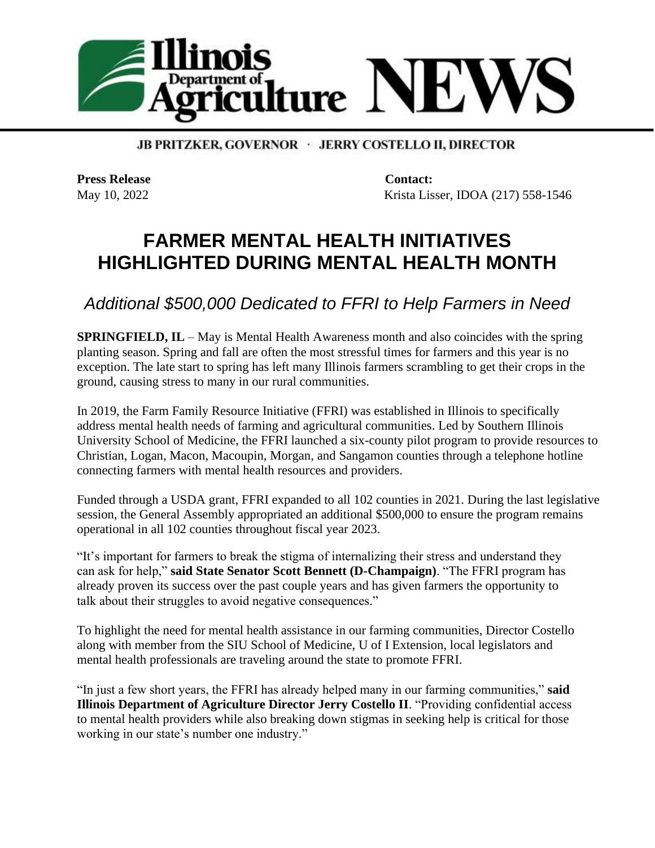

**JB PRITZKER, GOVERNOR · JERRY COSTELLO II, DIRECTOR** 

**Press Release Contact:** 

May 10, 2022 Krista Lisser, IDOA (217) 558-1546

## **FARMER MENTAL HEALTH INITIATIVES HIGHLIGHTED DURING MENTAL HEALTH MONTH**

*Additional \$500,000 Dedicated to FFRI to Help Farmers in Need*

**SPRINGFIELD, IL** – May is Mental Health Awareness month and also coincides with the spring planting season. Spring and fall are often the most stressful times for farmers and this year is no exception. The late start to spring has left many Illinois farmers scrambling to get their crops in the ground, causing stress to many in our rural communities.

In 2019, the Farm Family Resource Initiative (FFRI) was established in Illinois to specifically address mental health needs of farming and agricultural communities. Led by Southern Illinois University School of Medicine, the FFRI launched a six-county pilot program to provide resources to Christian, Logan, Macon, Macoupin, Morgan, and Sangamon counties through a telephone hotline connecting farmers with mental health resources and providers.

Funded through a USDA grant, FFRI expanded to all 102 counties in 2021. During the last legislative session, the General Assembly appropriated an additional \$500,000 to ensure the program remains operational in all 102 counties throughout fiscal year 2023.

"It's important for farmers to break the stigma of internalizing their stress and understand they can ask for help," **said State Senator Scott Bennett (D-Champaign)**. "The FFRI program has already proven its success over the past couple years and has given farmers the opportunity to talk about their struggles to avoid negative consequences."

To highlight the need for mental health assistance in our farming communities, Director Costello along with member from the SIU School of Medicine, U of I Extension, local legislators and mental health professionals are traveling around the state to promote FFRI.

"In just a few short years, the FFRI has already helped many in our farming communities," **said Illinois Department of Agriculture Director Jerry Costello II**. "Providing confidential access to mental health providers while also breaking down stigmas in seeking help is critical for those working in our state's number one industry."